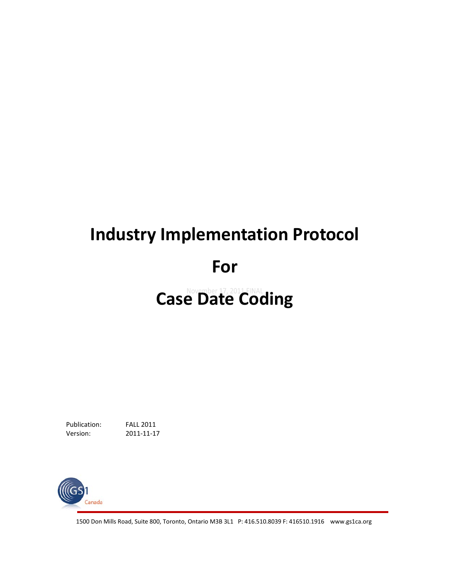# **Industry Implementation Protocol For Case Date Coding**

Publication: FALL 2011 Version: 2011-11-17



1500 Don Mills Road, Suite 800, Toronto, Ontario M3B 3L1 P: 416.510.8039 F: 416510.1916 www.gs1ca.org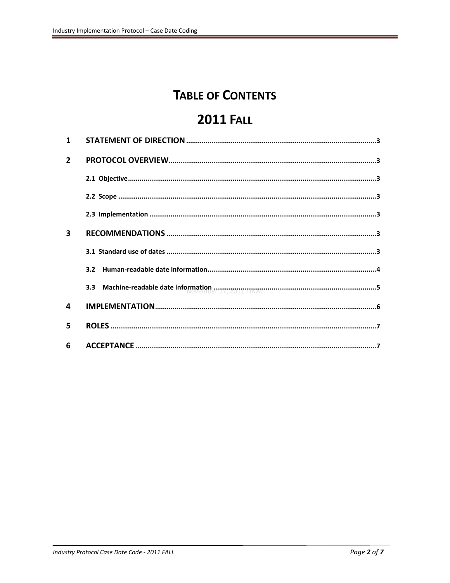# **TABLE OF CONTENTS**

# **2011 FALL**

| $\mathbf{1}$            |                                                                                                                                                                                                                               |
|-------------------------|-------------------------------------------------------------------------------------------------------------------------------------------------------------------------------------------------------------------------------|
| $\overline{2}$          |                                                                                                                                                                                                                               |
|                         |                                                                                                                                                                                                                               |
|                         |                                                                                                                                                                                                                               |
|                         |                                                                                                                                                                                                                               |
| $\overline{\mathbf{3}}$ |                                                                                                                                                                                                                               |
|                         |                                                                                                                                                                                                                               |
|                         | $3.2^{\circ}$                                                                                                                                                                                                                 |
|                         | 3.3 Machine-readable date information and review and the material material material states and all the material states and states and states and states and states and states and states and states and states and states and |
| 4                       |                                                                                                                                                                                                                               |
| 5                       |                                                                                                                                                                                                                               |
| 6                       |                                                                                                                                                                                                                               |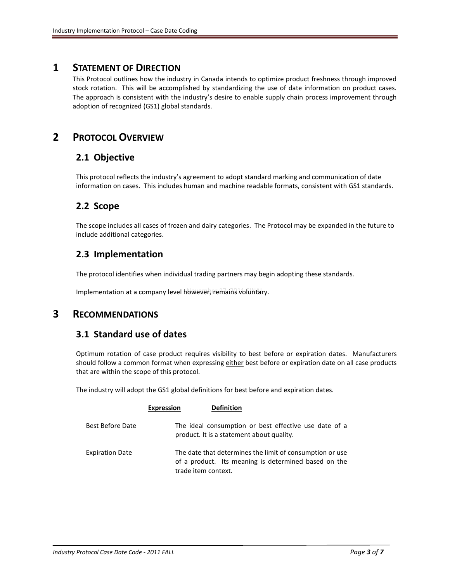#### <span id="page-2-0"></span>**1 STATEMENT OF DIRECTION**

This Protocol outlines how the industry in Canada intends to optimize product freshness through improved stock rotation. This will be accomplished by standardizing the use of date information on product cases. The approach is consistent with the industry's desire to enable supply chain process improvement through adoption of recognized (GS1) global standards.

# <span id="page-2-2"></span><span id="page-2-1"></span>**2 PROTOCOL OVERVIEW**

#### **2.1 Objective**

This protocol reflects the industry's agreement to adopt standard marking and communication of date information on cases. This includes human and machine readable formats, consistent with GS1 standards.

#### <span id="page-2-3"></span>**2.2 Scope**

The scope includes all cases of frozen and dairy categories. The Protocol may be expanded in the future to include additional categories.

#### <span id="page-2-4"></span>**2.3 Implementation**

The protocol identifies when individual trading partners may begin adopting these standards.

Implementation at a company level however, remains voluntary.

#### <span id="page-2-6"></span><span id="page-2-5"></span>**3 RECOMMENDATIONS**

#### **3.1 Standard use of dates**

Optimum rotation of case product requires visibility to best before or expiration dates. Manufacturers should follow a common format when expressing either best before or expiration date on all case products that are within the scope of this protocol.

The industry will adopt the GS1 global definitions for best before and expiration dates.

<span id="page-2-7"></span>

|                        | <b>Expression</b>   | <b>Definition</b>                                                                                                |
|------------------------|---------------------|------------------------------------------------------------------------------------------------------------------|
| Best Before Date       |                     | The ideal consumption or best effective use date of a<br>product. It is a statement about quality.               |
| <b>Expiration Date</b> | trade item context. | The date that determines the limit of consumption or use<br>of a product. Its meaning is determined based on the |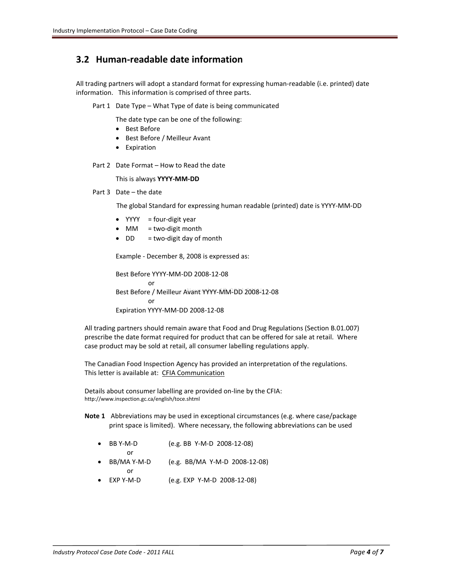## **3.2 Human-readable date information**

All trading partners will adopt a standard format for expressing human-readable (i.e. printed) date information. This information is comprised of three parts.

Part 1 Date Type – What Type of date is being communicated

The date type can be one of the following:

- Best Before
- Best Before / Meilleur Avant
- Expiration

Part 2 Date Format – How to Read the date

This is always **YYYY-MM-DD**

Part 3 Date – the date

The global Standard for expressing human readable (printed) date is YYYY-MM-DD

- $YYYY$  = four-digit year
- MM  $=$  two-digit month
- $\bullet$  DD = two-digit day of month

Example - December 8, 2008 is expressed as:

Best Before YYYY-MM-DD 2008-12-08 or Best Before / Meilleur Avant YYYY-MM-DD 2008-12-08 or Expiration YYYY-MM-DD 2008-12-08

All trading partners should remain aware that Food and Drug Regulations (Section B.01.007) prescribe the date format required for product that can be offered for sale at retail. Where case product may be sold at retail, all consumer labelling regulations apply.

The Canadian Food Inspection Agency has provided an interpretation of the regulations. This letter is available at: [CFIA Communication](http://www.gs1ca.org/files/Case_Date_Code_-_CFIA_Communication_201011.pdf)

Details about consumer labelling are provided on-line by the CFIA: <http://www.inspection.gc.ca/english/toce.shtml>

- **Note 1** Abbreviations may be used in exceptional circumstances (e.g. where case/package print space is limited). Where necessary, the following abbreviations can be used
	- BB Y-M-D (e.g. BB Y-M-D 2008-12-08) or
	- BB/MA Y-M-D (e.g. BB/MA Y-M-D 2008-12-08) or
	- EXP Y-M-D (e.g. EXP Y-M-D 2008-12-08)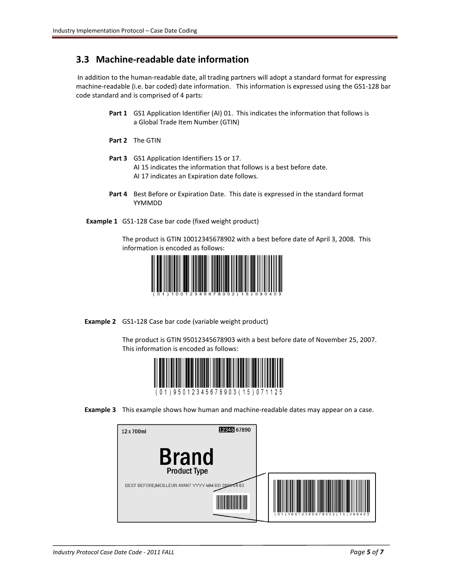## <span id="page-4-0"></span>**3.3 Machine-readable date information**

In addition to the human-readable date, all trading partners will adopt a standard format for expressing machine-readable (i.e. bar coded) date information. This information is expressed using the GS1-128 bar code standard and is comprised of 4 parts:

- **Part 1** GS1 Application Identifier (AI) 01. This indicates the information that follows is a Global Trade Item Number (GTIN)
- **Part 2** The GTIN
- **Part 3** GS1 Application Identifiers 15 or 17. AI 15 indicates the information that follows is a best before date. AI 17 indicates an Expiration date follows.
- **Part 4** Best Before or Expiration Date. This date is expressed in the standard format YYMMDD
- **Example 1** GS1-128 Case bar code (fixed weight product)

The product is GTIN 10012345678902 with a best before date of April 3, 2008. This information is encoded as follows:



**Example 2** GS1**-**128 Case bar code (variable weight product)

The product is GTIN 95012345678903 with a best before date of November 25, 2007. This information is encoded as follows:



**Example 3** This example shows how human and machine-readable dates may appear on a case.

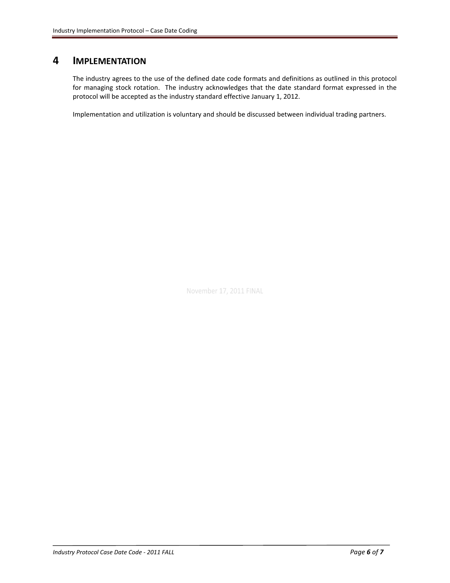## <span id="page-5-0"></span>**4 IMPLEMENTATION**

The industry agrees to the use of the defined date code formats and definitions as outlined in this protocol for managing stock rotation. The industry acknowledges that the date standard format expressed in the protocol will be accepted as the industry standard effective January 1, 2012.

Implementation and utilization is voluntary and should be discussed between individual trading partners.

November 17, 2011 FINAL